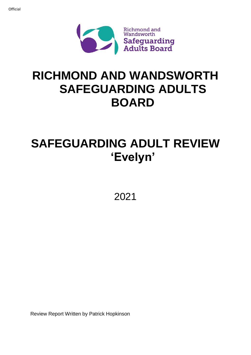

# **RICHMOND AND WANDSWORTH SAFEGUARDING ADULTS BOARD**

# **SAFEGUARDING ADULT REVIEW 'Evelyn'**

2021

Review Report Written by Patrick Hopkinson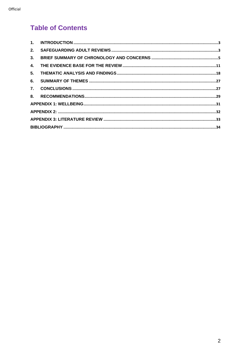# **Table of Contents**

| 2. |  |  |
|----|--|--|
| 3. |  |  |
| 4. |  |  |
| 5. |  |  |
| 6. |  |  |
| 7. |  |  |
|    |  |  |
|    |  |  |
|    |  |  |
|    |  |  |
|    |  |  |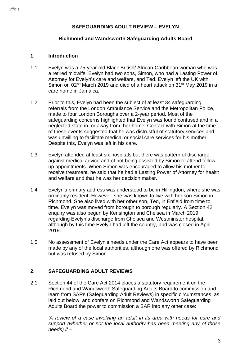# **SAFEGUARDING ADULT REVIEW – EVELYN**

#### **Richmond and Wandsworth Safeguarding Adults Board**

#### <span id="page-2-0"></span>**1. Introduction**

- 1.1. Evelyn was a 75-year-old Black British/ African-Caribbean woman who was a retired midwife. Evelyn had two sons, Simon, who had a Lasting Power of Attorney for Evelyn's care and welfare, and Ted. Evelyn left the UK with Simon on 02<sup>nd</sup> March 2019 and died of a heart attack on 31<sup>st</sup> May 2019 in a care home in Jamaica.
- 1.2. Prior to this, Evelyn had been the subject of at least 34 safeguarding referrals from the London Ambulance Service and the Metropolitan Police, made to four London Boroughs over a 2-year period. Most of the safeguarding concerns highlighted that Evelyn was found confused and in a neglected state in, or away from, her home. Contact with Simon at the time of these events suggested that he was distrustful of statutory services and was unwilling to facilitate medical or social care services for his mother. Despite this, Evelyn was left in his care.
- 1.3. Evelyn attended at least six hospitals but there was pattern of discharge against medical advice and of not being assisted by Simon to attend followup appointments. When Simon was encouraged to allow his mother to receive treatment, he said that he had a Lasting Power of Attorney for health and welfare and that he was her decision maker.
- 1.4. Evelyn's primary address was understood to be in Hillingdon, where she was ordinarily resident. However, she was known to live with her son Simon in Richmond. She also lived with her other son, Ted, in Enfield from time to time. Evelyn was moved from borough to borough regularly. A Section 42 enquiry was also begun by Kensington and Chelsea in March 2019 regarding Evelyn's discharge from Chelsea and Westminster hospital, although by this time Evelyn had left the country, and was closed in April 2019.
- 1.5. No assessment of Evelyn's needs under the Care Act appears to have been made by any of the local authorities, although one was offered by Richmond but was refused by Simon.

# <span id="page-2-1"></span>**2. SAFEGUARDING ADULT REVIEWS**

2.1. Section 44 of the Care Act 2014 places a statutory requirement on the Richmond and Wandsworth Safeguarding Adults Board to commission and learn from SARs (Safeguarding Adult Reviews) in specific circumstances, as laid out below, and confers on Richmond and Wandsworth Safeguarding Adults Board the power to commission a SAR into any other case:

*'A review of a case involving an adult in its area with needs for care and support (whether or not the local authority has been meeting any of those needs) if –*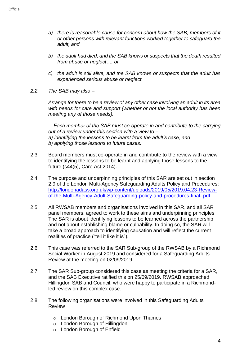- *a) there is reasonable cause for concern about how the SAB, members of it or other persons with relevant functions worked together to safeguard the adult, and*
- *b) the adult had died, and the SAB knows or suspects that the death resulted from abuse or neglect…, or*
- *c) the adult is still alive, and the SAB knows or suspects that the adult has experienced serious abuse or neglect.*
- *2.2. The SAB may also –*

*Arrange for there to be a review of any other case involving an adult in its area with needs for care and support (whether or not the local authority has been meeting any of those needs).*

*…Each member of the SAB must co-operate in and contribute to the carrying out of a review under this section with a view to – a) identifying the lessons to be learnt from the adult's case, and b) applying those lessons to future cases.*

- 2.3. Board members must co-operate in and contribute to the review with a view to identifying the lessons to be learnt and applying those lessons to the future (s44(5), Care Act 2014).
- 2.4. The purpose and underpinning principles of this SAR are set out in section 2.9 of the London Multi-Agency Safeguarding Adults Policy and Procedures: [http://londonadass.org.uk/wp-content/uploads/2019/05/2019.04.23-Review](http://londonadass.org.uk/wp-content/uploads/2019/05/2019.04.23-Review-of-the-Multi-Agency-Adult-Safeguarding-policy-and-procedures-final-.pdf)[of-the-Multi-Agency-Adult-Safeguarding-policy-and-procedures-final-.pdf](http://londonadass.org.uk/wp-content/uploads/2019/05/2019.04.23-Review-of-the-Multi-Agency-Adult-Safeguarding-policy-and-procedures-final-.pdf)
- 2.5. All RWSAB members and organisations involved in this SAR, and all SAR panel members, agreed to work to these aims and underpinning principles. The SAR is about identifying lessons to be learned across the partnership and not about establishing blame or culpability. In doing so, the SAR will take a broad approach to identifying causation and will reflect the current realities of practice ("tell it like it is").
- 2.6. This case was referred to the SAR Sub-group of the RWSAB by a Richmond Social Worker in August 2019 and considered for a Safeguarding Adults Review at the meeting on 02/09/2019.
- 2.7. The SAR Sub-group considered this case as meeting the criteria for a SAR, and the SAB Executive ratified this on 25/09/2019. RWSAB approached Hillingdon SAB and Council, who were happy to participate in a Richmondled review on this complex case.
- 2.8. The following organisations were involved in this Safeguarding Adults Review
	- o London Borough of Richmond Upon Thames
	- o London Borough of Hillingdon
	- o London Borough of Enfield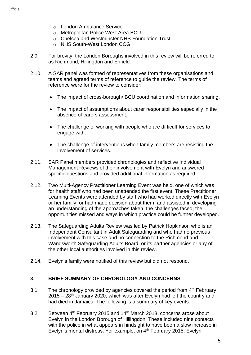- o London Ambulance Service
- o Metropolitan Police West Area BCU
- o Chelsea and Westminster NHS Foundation Trust
- o NHS South-West London CCG
- 2.9. For brevity, the London Boroughs involved in this review will be referred to as Richmond, Hillingdon and Enfield.
- 2.10. A SAR panel was formed of representatives from these organisations and teams and agreed terms of reference to guide the review. The terms of reference were for the review to consider:
	- The impact of cross-borough/ BCU coordination and information sharing.
	- The impact of assumptions about carer responsibilities especially in the absence of carers assessment.
	- The challenge of working with people who are difficult for services to engage with.
	- The challenge of interventions when family members are resisting the involvement of services.
- 2.11. SAR Panel members provided chronologies and reflective Individual Management Reviews of their involvement with Evelyn and answered specific questions and provided additional information as required.
- 2.12. Two Multi-Agency Practitioner Learning Event was held, one of which was for health staff who had been unattended the first event. These Practitioner Learning Events were attended by staff who had worked directly with Evelyn or her family, or had made decision about them, and assisted in developing an understanding of the approaches taken, the challenges faced, the opportunities missed and ways in which practice could be further developed.
- 2.13. The Safeguarding Adults Review was led by Patrick Hopkinson who is an Independent Consultant in Adult Safeguarding and who had no previous involvement with this case and no connection to the Richmond and Wandsworth Safeguarding Adults Board, or its partner agencies or any of the other local authorities involved in this review.
- 2.14. Evelyn's family were notified of this review but did not respond.

#### <span id="page-4-0"></span>**3. BRIEF SUMMARY OF CHRONOLOGY AND CONCERNS**

- 3.1. The chronology provided by agencies covered the period from 4<sup>th</sup> February  $2015 - 28$ <sup>th</sup> January 2020, which was after Evelyn had left the country and had died in Jamaica**.** The following is a summary of key events.
- 3.2. Between  $4<sup>th</sup>$  February 2015 and 14<sup>th</sup> March 2018, concerns arose about Evelyn in the London Borough of Hillingdon. These included nine contacts with the police in what appears in hindsight to have been a slow increase in Evelyn's mental distress. For example, on 4<sup>th</sup> February 2015, Evelyn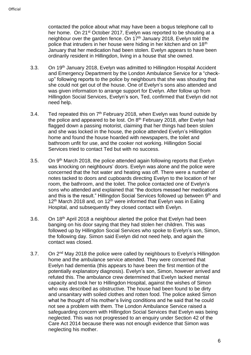contacted the police about what may have been a bogus telephone call to her home. On 21<sup>st</sup> October 2017, Evelyn was reported to be shouting at a neighbour over the garden fence. On  $17<sup>th</sup>$  January 2018, Evelyn told the police that intruders in her house were hiding in her kitchen and on 18<sup>th</sup> January that her medication had been stolen. Evelyn appears to have been ordinarily resident in Hillingdon, living in a house that she owned.

- 3.3. On 19<sup>th</sup> January 2018, Evelyn was admitted to Hillingdon Hospital Accident and Emergency Department by the London Ambulance Service for a "checkup" following reports to the police by neighbours that she was shouting that she could not get out of the house. One of Evelyn's sons also attended and was given information to arrange support for Evelyn. After follow up from Hillingdon Social Services, Evelyn's son, Ted, confirmed that Evelyn did not need help.
- 3.4. Ted repeated this on  $7<sup>th</sup>$  February 2018, when Evelyn was found outside by the police and appeared to be lost. On 8<sup>th</sup> February 2018, after Evelyn had flagged down a passing motorist, claiming that her things had been stolen and she was locked in the house, the police attended Evelyn's Hillingdon home and found the house hoarded with newspapers, the toilet and bathroom unfit for use, and the cooker not working. Hillingdon Social Services tried to contact Ted but with no success.
- 3.5. On 9th March 2018, the police attended again following reports that Evelyn was knocking on neighbours' doors. Evelyn was alone and the police were concerned that the hot water and heating was off. There were a number of notes tacked to doors and cupboards directing Evelyn to the location of her room, the bathroom, and the toilet. The police contacted one of Evelyn's sons who attended and explained that "the doctors messed her medications and this is the result." Hillingdon Social Services followed up between  $9<sup>th</sup>$  and  $12<sup>th</sup>$  March 2018 and, on 12<sup>th</sup> were informed that Evelyn was in Ealing Hospital, and subsequently they closed contact with Evelyn.
- 3.6. On 18<sup>th</sup> April 2018 a neighbour alerted the police that Evelyn had been banging on his door saying that they had stolen her children. This was followed up by Hillingdon Social Services who spoke to Evelyn's son, Simon, the following day. Simon said Evelyn did not need help, and again the contact was closed.
- 3.7. On 2<sup>nd</sup> May 2018 the police were called by neighbours to Evelyn's Hillingdon home and the ambulance service attended. They were concerned that Evelyn had dementia (this appears to have been the first mention of the potentially explanatory diagnosis). Evelyn's son, Simon, however arrived and refuted this. The ambulance crew determined that Evelyn lacked mental capacity and took her to Hillingdon Hospital, against the wishes of Simon who was described as obstructive. The house had been found to be dirty and unsanitary with soiled clothes and rotten food. The police asked Simon what he thought of his mother's living conditions and he said that he could not see a problem with them. The London Ambulance Service raised a safeguarding concern with Hillingdon Social Services that Evelyn was being neglected. This was not progressed to an enquiry under Section 42 of the Care Act 2014 because there was not enough evidence that Simon was neglecting his mother.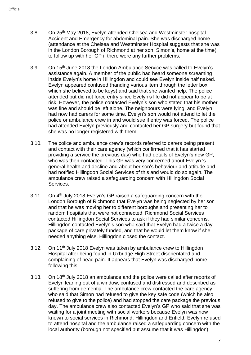- 3.8. On 25th May 2018, Evelyn attended Chelsea and Westminster hospital Accident and Emergency for abdominal pain. She was discharged home (attendance at the Chelsea and Westminster Hospital suggests that she was in the London Borough of Richmond at her son, Simon's, home at the time) to follow up with her GP if there were any further problems.
- 3.9. On 15th June 2018 the London Ambulance Service was called to Evelyn's assistance again. A member of the public had heard someone screaming inside Evelyn's home in Hillingdon and could see Evelyn inside half naked. Evelyn appeared confused (handing various item through the letter box which she believed to be keys) and said that she wanted help. The police attended but did not force entry since Evelyn's life did not appear to be at risk. However, the police contacted Evelyn's son who stated that his mother was fine and should be left alone. The neighbours were lying, and Evelyn had now had carers for some time. Evelyn's son would not attend to let the police or ambulance crew in and would sue if entry was forced. The police had attended Evelyn previously and contacted her GP surgery but found that she was no longer registered with them.
- 3.10. The police and ambulance crew's records referred to carers being present and contact with their care agency (which confirmed that it has started providing a service the previous day) who had details of Evelyn's new GP, who was then contacted. This GP was very concerned about Evelyn 's general health and decline and about her son's behaviour and attitude and had notified Hillingdon Social Services of this and would do so again. The ambulance crew raised a safeguarding concern with Hillingdon Social Services.
- 3.11. On 4<sup>th</sup> July 2018 Evelyn's GP raised a safeguarding concern with the London Borough of Richmond that Evelyn was being neglected by her son and that he was moving her to different boroughs and presenting her to random hospitals that were not connected. Richmond Social Services contacted Hillingdon Social Services to ask if they had similar concerns. Hillingdon contacted Evelyn's son who said that Evelyn had a twice a day package of care privately funded, and that he would let them know if she needed anything else. Hillingdon closed the contact.
- 3.12. On 11<sup>th</sup> July 2018 Evelyn was taken by ambulance crew to Hillingdon Hospital after being found in Uxbridge High Street disorientated and complaining of head pain. It appears that Evelyn was discharged home following this.
- 3.13. On 18<sup>th</sup> July 2018 an ambulance and the police were called after reports of Evelyn leaning out of a window, confused and distressed and described as suffering from dementia. The ambulance crew contacted the care agency who said that Simon had refused to give the key safe code (which he also refused to give to the police) and had stopped the care package the previous day. The ambulance crew also contacted Evelyn's GP who said that she was waiting for a joint meeting with social workers because Evelyn was now known to social services in Richmond, Hillingdon and Enfield. Evelyn refused to attend hospital and the ambulance raised a safeguarding concern with the local authority (borough not specified but assume that it was Hillingdon).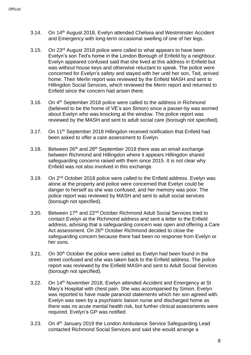- 3.14. On 14<sup>th</sup> August 2018, Evelyn attended Chelsea and Westminster Accident and Emergency with long-term occasional swelling of one of her legs.
- 3.15. On 23rd August 2018 police were called to what appears to have been Evelyn's son Ted's home in the London Borough of Enfield by a neighbour. Evelyn appeared confused said that she lived at this address in Enfield but was without house keys and otherwise reluctant to speak. The police were concerned for Evelyn's safety and stayed with her until her son, Ted, arrived home. Their Merlin report was reviewed by the Enfield MASH and sent to Hillingdon Social Services, which reviewed the Merin report and returned to Enfield since the concern had arisen there.
- 3.16. On 4<sup>th</sup> September 2018 police were called to the address in Richmond (believed to be the home of VE's son Simon) since a passer-by was worried about Evelyn who was knocking at the window. The police report was reviewed by the MASH and sent to adult social care (borough not specified).
- 3.17. On 11<sup>th</sup> September 2018 Hillingdon received notification that Enfield had been asked to offer a care assessment to Evelyn.
- 3.18. Between  $26<sup>th</sup>$  and  $28<sup>th</sup>$  September 2018 there was an email exchange between Richmond and Hillingdon where it appears Hillingdon shared safeguarding concerns raised with them since 2015. It is not clear why Enfield was not also involved in this exchange.
- 3.19. On 2<sup>nd</sup> October 2018 police were called to the Enfield address. Evelyn was alone at the property and police were concerned that Evelyn could be danger to herself as she was confused, and her memory was poor. The police report was reviewed by MASH and sent to adult social services (borough not specified).
- 3.20. Between 17th and 22<sup>nd</sup> October Richmond Adult Social Services tried to contact Evelyn at the Richmond address and sent a letter to the Enfield address, advising that a safeguarding concern was open and offering a Care Act assessment. On 26<sup>th</sup> October Richmond decided to close the safeguarding concern because there had been no response from Evelyn or her sons.
- 3.21. On 30<sup>th</sup> October the police were called as Evelyn had been found in the street confused and she was taken back to the Enfield address. The police report was reviewed by the Enfield MASH and sent to Adult Social Services (borough not specified).
- 3.22. On 14<sup>th</sup> November 2018, Evelyn attended Accident and Emergency at St Mary's Hospital with chest pain. She was accompanied by Simon. Evelyn was reported to have made paranoid statements which her son agreed with. Evelyn was seen by a psychiatric liaison nurse and discharged home as there was no acute mental health risk, but further clinical assessments were required. Evelyn's GP was notified.
- 3.23. On 4<sup>th</sup> January 2019 the London Ambulance Service Safeguarding Lead contacted Richmond Social Services and said she would arrange a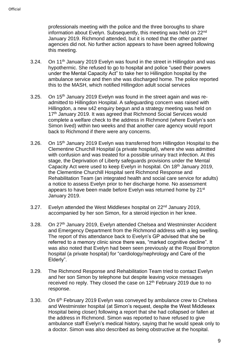professionals meeting with the police and the three boroughs to share information about Evelyn. Subsequently, this meeting was held on 22<sup>nd</sup> January 2019. Richmond attended, but it is noted that the other partner agencies did not. No further action appears to have been agreed following this meeting.

- 3.24. On 11<sup>th</sup> January 2019 Evelyn was found in the street in Hillingdon and was hypothermic. She refused to go to hospital and police "used their powers under the Mental Capacity Act" to take her to Hillingdon hospital by the ambulance service and then she was discharged home. The police reported this to the MASH, which notified Hillingdon adult social services
- 3.25. On 15<sup>th</sup> January 2019 Evelyn was found in the street again and was readmitted to Hillingdon Hospital. A safeguarding concern was raised with Hillingdon, a new s42 enquiry begun and a strategy meeting was held on 17<sup>th</sup> January 2019. It was agreed that Richmond Social Services would complete a welfare check to the address in Richmond (where Evelyn's son Simon lived) within two weeks and that another care agency would report back to Richmond if there were any concerns.
- 3.26. On 15<sup>th</sup> January 2019 Evelyn was transferred from Hillingdon Hospital to the Clementine Churchill Hospital (a private hospital), where she was admitted with confusion and was treated for a possible urinary tract infection. At this stage, the Deprivation of Liberty safeguards provisions under the Mental Capacity Act were used to keep Evelyn in hospital. On 18th January 2019, the Clementine Churchill Hospital sent Richmond Response and Rehabilitation Team (an integrated health and social care service for adults) a notice to assess Evelyn prior to her discharge home. No assessment appears to have been made before Evelyn was returned home by 21<sup>st</sup> January 2019.
- 3.27. Evelyn attended the West Middlesex hospital on 22<sup>nd</sup> January 2019, accompanied by her son Simon, for a steroid injection in her knee.
- 3.28. On 27<sup>th</sup> January 2019, Evelyn attended Chelsea and Westminster Accident and Emergency Department from the Richmond address with a leg swelling. The report of this attendance back to Evelyn's GP advised that she be referred to a memory clinic since there was, "marked cognitive decline". It was also noted that Evelyn had been seen previously at the Royal Brompton hospital (a private hospital) for "cardiology/nephrology and Care of the Elderly".
- 3.29. The Richmond Response and Rehabilitation Team tried to contact Evelyn and her son Simon by telephone but despite leaving voice messages received no reply. They closed the case on 12<sup>th</sup> February 2019 due to no response.
- 3.30. On 6<sup>th</sup> February 2019 Evelyn was conveyed by ambulance crew to Chelsea and Westminster hospital (at Simon's request, despite the West Middlesex Hospital being closer) following a report that she had collapsed or fallen at the address in Richmond. Simon was reported to have refused to give ambulance staff Evelyn's medical history, saying that he would speak only to a doctor. Simon was also described as being obstructive at the hospital.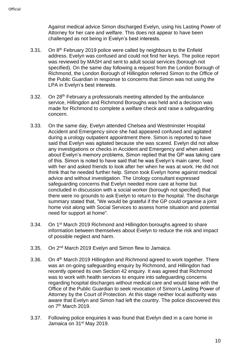Against medical advice Simon discharged Evelyn, using his Lasting Power of Attorney for her care and welfare. This does not appear to have been challenged as not being in Evelyn's best interests.

- 3.31. On 8<sup>th</sup> February 2019 police were called by neighbours to the Enfield address. Evelyn was confused and could not find her keys. The police report was reviewed by MASH and sent to adult social services (borough not specified). On the same day following a request from the London Borough of Richmond, the London Borough of Hillingdon referred Simon to the Office of the Public Guardian in response to concerns that Simon was not using the LPA in Evelyn's best interests.
- 3.32. On 28<sup>th</sup> February a professionals meeting attended by the ambulance service, Hillingdon and Richmond Boroughs was held and a decision was made for Richmond to complete a welfare check and raise a safeguarding concern.
- 3.33. On the same day, Evelyn attended Chelsea and Westminster Hospital Accident and Emergency since she had appeared confused and agitated during a urology outpatient appointment there. Simon is reported to have said that Evelyn was agitated because she was scared. Evelyn did not allow any investigations or checks in Accident and Emergency and when asked about Evelyn's memory problems, Simon replied that the GP was taking care of this. Simon is noted to have said that he was Evelyn's main carer, lived with her and asked friends to look after her when he was at work. He did not think that he needed further help. Simon took Evelyn home against medical advice and without investigation. The Urology consultant expressed safeguarding concerns that Evelyn needed more care at home but concluded in discussion with a social worker (borough not specified) that there were no grounds to ask Evelyn to return to the hospital. The discharge summary stated that, "We would be grateful if the GP could organise a joint home visit along with Social Services to assess home situation and potential need for support at home".
- 3.34. On 1st March 2019 Richmond and Hillingdon boroughs agreed to share information between themselves about Evelyn to reduce the risk and impact of possible neglect and harm.
- 3.35. On 2nd March 2019 Evelyn and Simon flew to Jamaica.
- 3.36. On 4<sup>th</sup> March 2019 Hillingdon and Richmond agreed to work together. There was an on-going safeguarding enquiry by Richmond, and Hillingdon had recently opened its own Section 42 enquiry. It was agreed that Richmond was to work with health services to enquire into safeguarding concerns regarding hospital discharges without medical care and would liaise with the Office of the Public Guardian to seek revocation of Simon's Lasting Power of Attorney by the Court of Protection. At this stage neither local authority was aware that Evelyn and Simon had left the country. The police discovered this on 7<sup>th</sup> March 2019.
- 3.37. Following police enquiries it was found that Evelyn died in a care home in Jamaica on 31<sup>st</sup> May 2019.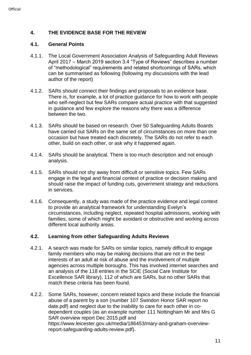# <span id="page-10-0"></span>**4. THE EVIDENCE BASE FOR THE REVIEW**

#### **4.1. General Points**

- 4.1.1. The Local Government Association Analysis of Safeguarding Adult Reviews April 2017 – March 2019 section 3.4 "Type of Reviews" describes a number of "methodological" requirements and related shortcomings of SARs, which can be summarised as following (following my discussions with the lead author of the report)
- 4.1.2. SARs should connect their findings and proposals to an evidence base. There is, for example, a lot of practice guidance for how to work with people who self-neglect but few SARs compare actual practice with that suggested in guidance and few explore the reasons why there was a difference between the two.
- 4.1.3. SARs should be based on research. Over 50 Safeguarding Adults Boards have carried out SARs on the same set of circumstances on more than one occasion but have treated each discretely. The SARs do not refer to each other, build on each other, or ask why it happened again.
- 4.1.4. SARs should be analytical. There is too much description and not enough analysis.
- 4.1.5. SARs should not shy away from difficult or sensitive topics. Few SARs engage in the legal and financial context of practice or decision making and should raise the impact of funding cuts, government strategy and reductions in services.
- 4.1.6. Consequently, a study was made of the practice evidence and legal context to provide an analytical framework for understanding Evelyn's circumstances, including neglect, repeated hospital admissions, working with families, some of which might be avoidant or obstructive and working across different local authority areas.

# **4.2. Learning from other Safeguarding Adults Reviews**

- 4.2.1. A search was made for SARs on similar topics, namely difficult to engage family members who may be making decisions that are not in the best interests of an adult at risk of abuse and the involvement of multiple agencies across multiple boroughs. This has involved internet searches and an analysis of the 118 entries in the SCIE (Social Care Institute for Excellence SAR library), 112 of which are SARs, but no other SARs that match these criteria has been found.
- 4.2.2. Some SARs, however, concern related topics and these include the financial abuse of a parent by a son (number [107 Swindon Honor SAR report no](file://///files/safeguarding/adults/reviews/library/reports/107%20Swindon%20Honor%20SAR%20report%20no%20date.pdf)  [date.pdf\)](file://///files/safeguarding/adults/reviews/library/reports/107%20Swindon%20Honor%20SAR%20report%20no%20date.pdf) and neglect due to the inability to care for each other in codependent couples (as an example number [111 Nottingham Mr and Mrs G](file://///files/safeguarding/adults/reviews/library/reports/111%20Nottingham%20Mr%20and%20Mrs%20G%20SAR%20overview%20report%20Dec%202015.pdf)  [SAR overview report Dec 2015.pdf](file://///files/safeguarding/adults/reviews/library/reports/111%20Nottingham%20Mr%20and%20Mrs%20G%20SAR%20overview%20report%20Dec%202015.pdf) and [https://www.leicester.gov.uk/media/186453/mary-and-graham-overview](https://www.leicester.gov.uk/media/186453/mary-and-graham-overview-report-safeguarding-adults-review.pdf)[report-safeguarding-adults-review.pdf\)](https://www.leicester.gov.uk/media/186453/mary-and-graham-overview-report-safeguarding-adults-review.pdf).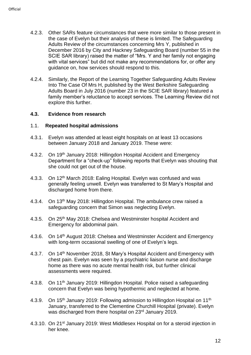- 4.2.3. Other SARs feature circumstances that were more similar to those present in the case of Evelyn but their analysis of these is limited. The Safeguarding Adults Review of the circumstances concerning Mrs Y, published in December 2016 by City and Hackney Safeguarding Board (number 55 in the SCIE SAR library) raised the matter of "Mrs. Y and her family not engaging with vital services" but did not make any recommendations for, or offer any guidance on, how services should respond to this.
- 4.2.4. Similarly, the Report of the Learning Together Safeguarding Adults Review Into The Case Of Mrs H, published by the West Berkshire Safeguarding Adults Board in July 2016 (number 23 in the SCIE SAR library) featured a family member's reluctance to accept services. The Learning Review did not explore this further.

#### **4.3. Evidence from research**

#### 1.1. **Repeated hospital admissions**

- 4.3.1. Evelyn was attended at least eight hospitals on at least 13 occasions between January 2018 and January 2019. These were:
- 4.3.2. On 19<sup>th</sup> January 2018: Hillingdon Hospital Accident and Emergency Department for a "check-up" following reports that Evelyn was shouting that she could not get out of the house.
- 4.3.3. On 12<sup>th</sup> March 2018: Ealing Hospital. Evelyn was confused and was generally feeling unwell. Evelyn was transferred to St Mary's Hospital and discharged home from there.
- 4.3.4. On 13<sup>th</sup> May 2018: Hillingdon Hospital. The ambulance crew raised a safeguarding concern that Simon was neglecting Evelyn.
- 4.3.5. On 25<sup>th</sup> May 2018: Chelsea and Westminster hospital Accident and Emergency for abdominal pain.
- 4.3.6. On 14<sup>th</sup> August 2018: Chelsea and Westminster Accident and Emergency with long-term occasional swelling of one of Evelyn's legs.
- 4.3.7. On 14<sup>th</sup> November 2018, St Mary's Hospital Accident and Emergency with chest pain. Evelyn was seen by a psychiatric liaison nurse and discharge home as there was no acute mental health risk, but further clinical assessments were required.
- 4.3.8. On 11<sup>th</sup> January 2019: Hillingdon Hospital. Police raised a safeguarding concern that Evelyn was being hypothermic and neglected at home.
- 4.3.9. On 15<sup>th</sup> January 2019: Following admission to Hillingdon Hospital on 11<sup>th</sup> January, transferred to the Clementine Churchill Hospital (private). Evelyn was discharged from there hospital on 23rd January 2019.
- 4.3.10. On 21<sup>st</sup> January 2019: West Middlesex Hospital on for a steroid injection in her knee.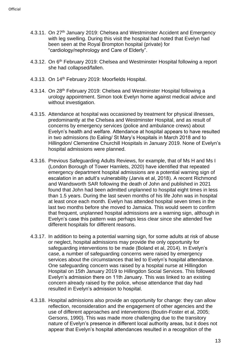- 4.3.11. On 27<sup>th</sup> January 2019: Chelsea and Westminster Accident and Emergency with leg swelling. During this visit the hospital had noted that Evelyn had been seen at the Royal Brompton hospital (private) for "cardiology/nephrology and Care of Elderly".
- 4.3.12. On 6<sup>th</sup> February 2019: Chelsea and Westminster Hospital following a report she had collapsed/fallen.
- 4.3.13. On 14<sup>th</sup> February 2019: Moorfields Hospital.
- 4.3.14. On 28<sup>th</sup> February 2019: Chelsea and Westminster Hospital following a urology appointment. Simon took Evelyn home against medical advice and without investigation.
- 4.3.15. Attendance at hospital was occasioned by treatment for physical illnesses, predominantly at the Chelsea and Westminster Hospital, and as result of concerns by emergency services (police and ambulance crews) about Evelyn's health and welfare. Attendance at hospital appears to have resulted in two admissions (to Ealing/ St Mary's Hospitals in March 2018 and to Hillingdon/ Clementine Churchill Hospitals in January 2019. None of Evelyn's hospital admissions were planned.
- 4.3.16. Previous Safeguarding Adults Reviews, for example, that of Ms H and Ms I (London Borough of Tower Hamlets, 2020) have identified that repeated emergency department hospital admissions are a potential warning sign of escalation in an adult's vulnerability (Jarvis et al, 2018). A recent Richmond and Wandsworth SAR following the death of John and published in 2021 found that John had been admitted unplanned to hospital eight times in less than 1.5 years. During the last seven months of his life John was in hospital at least once each month. Evelyn has attended hospital seven times in the last two months before she moved to Jamaica. This would seem to confirm that frequent, unplanned hospital admissions are a warning sign, although in Evelyn's case this pattern was perhaps less clear since she attended five different hospitals for different reasons.
- 4.3.17. In addition to being a potential warning sign, for some adults at risk of abuse or neglect, hospital admissions may provide the only opportunity for safeguarding interventions to be made (Boland et al, 2014). In Evelyn's case, a number of safeguarding concerns were raised by emergency services about the circumstances that led to Evelyn's hospital attendance. One safeguarding concern was raised by a hospital nurse at Hillingdon Hospital on 15th January 2019 to Hillingdon Social Services. This followed Evelyn's admission there on 11th January. This was linked to an existing concern already raised by the police, whose attendance that day had resulted in Evelyn's admission to hospital.
- 4.3.18. Hospital admissions also provide an opportunity for change: they can allow reflection, reconsideration and the engagement of other agencies and the use of different approaches and interventions (Boutin-Foster et al, 2005; Gersons, 1990). This was made more challenging due to the transitory nature of Evelyn's presence in different local authority areas, but it does not appear that Evelyn's hospital attendances resulted in a recognition of the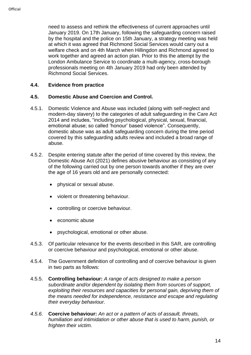need to assess and rethink the effectiveness of current approaches until January 2019. On 17th January, following the safeguarding concern raised by the hospital and the police on 15th January, a strategy meeting was held at which it was agreed that Richmond Social Services would carry out a welfare check and on 4th March when Hillingdon and Richmond agreed to work together and agreed an action plan. Prior to this the attempt by the London Ambulance Service to coordinate a multi-agency, cross-borough professionals meeting on 4th January 2019 had only been attended by Richmond Social Services.

#### **4.4. Evidence from practice**

#### **4.5. Domestic Abuse and Coercion and Control.**

- 4.5.1. Domestic Violence and Abuse was included (along with self-neglect and modern-day slavery) to the categories of adult safeguarding in the Care Act 2014 and includes, "including psychological, physical, sexual, financial, emotional abuse; so called 'honour' based violence". Consequently, domestic abuse was as adult safeguarding concern during the time period covered by this safeguarding adults review and included a broad range of abuse.
- 4.5.2. Despite entering statute after the period of time covered by this review, the Domestic Abuse Act (2021) defines abusive behaviour as consisting of any of the following carried out by one person towards another if they are over the age of 16 years old and are personally connected:
	- physical or sexual abuse.
	- violent or threatening behaviour.
	- controlling or coercive behaviour.
	- economic abuse
	- psychological, emotional or other abuse.
- 4.5.3. Of particular relevance for the events described in this SAR, are controlling or coercive behaviour and psychological, emotional or other abuse.
- 4.5.4. The Government definition of controlling and of coercive behaviour is given in two parts as follows:
- 4.5.5. **Controlling behaviour:** *A range of acts designed to make a person subordinate and/or dependent by isolating them from sources of support, exploiting their resources and capacities for personal gain, depriving them of the means needed for independence, resistance and escape and regulating their everyday behaviour.*
- *4.5.6.* **Coercive behaviour:** *An act or a pattern of acts of assault, threats, humiliation and intimidation or other abuse that is used to harm, punish, or frighten their victim.*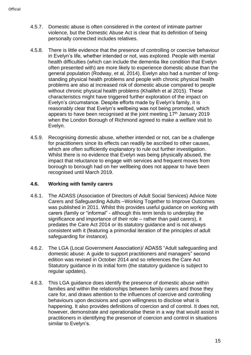- 4.5.7. Domestic abuse is often considered in the context of intimate partner violence, but the Domestic Abuse Act is clear that its definition of being personally connected includes relatives.
- 4.5.8. There is little evidence that the presence of controlling or coercive behaviour in Evelyn's life, whether intended or not, was explored. People with mental health difficulties (which can include the dementia like condition that Evelyn often presented with) are more likely to experience domestic abuse than the general population (Rodway, et al, 2014). Evelyn also had a number of longstanding physical health problems and people with chronic physical health problems are also at increased risk of domestic abuse compared to people without chronic physical health problems (Khalifeh et al 2015). These characteristics might have triggered further exploration of the impact on Evelyn's circumstance. Despite efforts made by Evelyn's family, it is reasonably clear that Evelyn's wellbeing was not being promoted, which appears to have been recognised at the joint meeting  $17<sup>th</sup>$  January 2019 when the London Borough of Richmond agreed to make a welfare visit to Evelyn.
- 4.5.9. Recognising domestic abuse, whether intended or not, can be a challenge for practitioners since its effects can readily be ascribed to other causes, which are often sufficiently explanatory to rule out further investigation. Whilst there is no evidence that Evelyn was being physically abused, the impact that reluctance to engage with services and frequent moves from borough to borough had on her wellbeing does not appear to have been recognised until March 2019.

#### **4.6. Working with family carers**

- 4.6.1. The ADASS (Association of Directors of Adult Social Services) Advice Note Carers and Safeguarding Adults –Working Together to Improve Outcomes was published in 2011. Whilst this provides useful guidance on working with carers (family or "informal" - although this term tends to underplay the significance and importance of their role – rather than paid carers), it predates the Care Act 2014 or its statutory guidance and is not always consistent with it (featuring a primordial iteration of the principles of adult safeguarding for instance).
- 4.6.2. The LGA (Local Government Association)/ ADASS "Adult safeguarding and domestic abuse: A guide to support practitioners and managers" second edition was revised in October 2014 and so references the Care Act Statutory guidance in its initial form (the statutory guidance is subject to regular updates).
- 4.6.3. This LGA guidance does identify the presence of domestic abuse within families and within the relationships between family carers and those they care for, and draws attention to the influences of coercive and controlling behaviours upon decisions and upon willingness to disclose what is happening. It also provides definitions of coercion and of control. It does not, however, demonstrate and operationalise these in a way that would assist in practitioners in identifying the presence of coercion and control in situations similar to Evelyn's.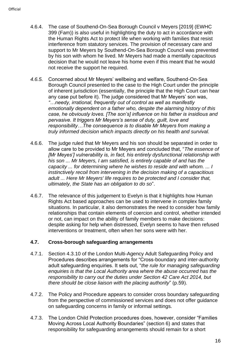- 4.6.4. The case of Southend-On-Sea Borough Council v Meyers [2019] (EWHC 399 (Fam)) is also useful in highlighting the duty to act in accordance with the Human Rights Act to protect life when working with families that resist interference from statutory services. The provision of necessary care and support to Mr Meyers by Southend-On-Sea Borough Council was prevented by his son with whom he lived. Mr Meyers had made a mentally capacitous decision that he would not leave his home even if this meant that he would not receive the support he required.
- *4.6.5.* Concerned about Mr Meyers' wellbeing and welfare, Southend-On-Sea Borough Council presented to the case to the High Court under the principle of inherent jurisdiction (essentially, the principle that the High Court can hear any case put before it). The judge considered that Mr Meyers' son was, *"…needy, irrational, frequently out of control as well as manifestly emotionally dependent on a father who, despite the alarming history of this case, he obviously loves. [The son's] influence on his father is insidious and pervasive. It triggers Mr Meyers's sense of duty, guilt, love and responsibility…The consequence is to disable Mr Meyers from making a truly informed decision which impacts directly on his health and survival.*
- 4.6.6. The judge ruled that Mr Meyers and his son should be separated in order to allow care to be provided to Mr Meyers and concluded that, "*The essence of [Mr Meyes'] vulnerability is, in fact, his entirely dysfunctional relationship with his son ... Mr Meyers, I am satisfied, is entirely capable of and has the capacity ... for determining where he wishes to reside and with whom. ... I instinctively recoil from intervening in the decision making of a capacitious adult ... Here Mr Meyers' life requires to be protected and I consider that, ultimately, the State has an obligation to do so*".
- 4.6.7. The relevance of this judgement to Evelyn is that it highlights how Human Rights Act based approaches can be used to intervene in complex family situations. In particular, it also demonstrates the need to consider how family relationships that contain elements of coercion and control, whether intended or not, can impact on the ability of family members to make decisions: despite asking for help when distressed, Evelyn seems to have then refused interventions or treatment, often when her sons were with her.

# **4.7. Cross-borough safeguarding arrangements**

- 4.7.1. Section 4.3.10 of the London Multi-Agency Adult Safeguarding Policy and Procedures describes arrangements for "Cross-boundary and inter-authority adult safeguarding enquiries. It sets out, "*the rule for managing safeguarding enquiries is that the Local Authority area where the abuse occurred has the responsibility to carry out the duties under Section 42 Care Act 2014, but there should be close liaison with the placing authority*" (p.59).
- 4.7.2. The Policy and Procedure appears to consider cross boundary safeguarding from the perspective of commissioned services and does not offer guidance on safeguarding concerns in family or informal settings.
- 4.7.3. The London Child Protection procedures does, however, consider "Families Moving Across Local Authority Boundaries" (section 6) and states that responsibility for safeguarding arrangements should remain for a short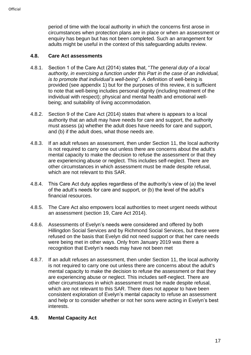period of time with the local authority in which the concerns first arose in circumstances when protection plans are in place or when an assessment or enquiry has begun but has not been completed. Such an arrangement for adults might be useful in the context of this safeguarding adults review.

# **4.8. Care Act assessments**

- 4.8.1. Section 1 of the Care Act (2014) states that, "*The general duty of a local authority, in exercising a function under this Part in the case of an individual, is to promote that individual's well-being*". A definition of well-being is provided (see appendix 1) but for the purposes of this review, it is sufficient to note that well-being includes personal dignity (including treatment of the individual with respect); physical and mental health and emotional wellbeing; and suitability of living accommodation.
- 4.8.2. Section 9 of the Care Act (2014) states that where is appears to a local authority that an adult may have needs for care and support, the authority must assess (a) whether the adult does have needs for care and support, and (b) if the adult does, what those needs are.
- 4.8.3. If an adult refuses an assessment, then under Section 11, the local authority is not required to carry one out unless there are concerns about the adult's mental capacity to make the decision to refuse the assessment or that they are experiencing abuse or neglect. This includes self-neglect. There are other circumstances in which assessment must be made despite refusal, which are not relevant to this SAR.
- 4.8.4. This Care Act duty applies regardless of the authority's view of (a) the level of the adult's needs for care and support, or (b) the level of the adult's financial resources.
- 4.8.5. The Care Act also empowers local authorities to meet urgent needs without an assessment (section 19, Care Act 2014).
- 4.8.6. Assessments of Evelyn's needs were considered and offered by both Hillingdon Social Services and by Richmond Social Services, but these were refused on the basis that Evelyn did not need support or that her care needs were being met in other ways. Only from January 2019 was there a recognition that Evelyn's needs may have not been met
- 4.8.7. If an adult refuses an assessment, then under Section 11, the local authority is not required to carry one out unless there are concerns about the adult's mental capacity to make the decision to refuse the assessment or that they are experiencing abuse or neglect. This includes self-neglect. There are other circumstances in which assessment must be made despite refusal, which are not relevant to this SAR. There does not appear to have been consistent exploration of Evelyn's mental capacity to refuse an assessment and help or to consider whether or not her sons were acting in Evelyn's best interests.

#### **4.9. Mental Capacity Act**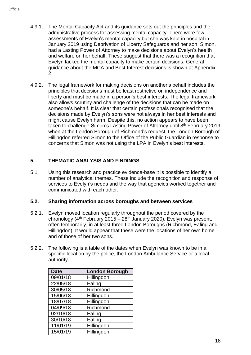- 4.9.1. The Mental Capacity Act and its guidance sets out the principles and the administrative process for assessing mental capacity. There were few assessments of Evelyn's mental capacity but she was kept in hospital in January 2019 using Deprivation of Liberty Safeguards and her son, Simon, had a Lasting Power of Attorney to make decisions about Evelyn's health and welfare on her behalf. These suggest that there was a recognition that Evelyn lacked the mental capacity to make certain decisions. General guidance about the MCA and Best Interest decisions is shown at Appendix 2.
- 4.9.2. The legal framework for making decisions on another's behalf includes the principles that decisions must be least restrictive on independence and liberty and must be made in a person's best interests. The legal framework also allows scrutiny and challenge of the decisions that can be made on someone's behalf. It is clear that certain professionals recognised that the decisions made by Evelyn's sons were not always in her best interests and might cause Evelyn harm. Despite this, no action appears to have been taken to challenge Simon's Lasting Power of Attorney until 8<sup>th</sup> February 2019 when at the London Borough of Richmond's request, the London Borough of Hillingdon referred Simon to the Office of the Public Guardian in response to concerns that Simon was not using the LPA in Evelyn's best interests.

# <span id="page-17-0"></span>**5. THEMATIC ANALYSIS AND FINDINGS**

5.1. Using this research and practice evidence-base it is possible to identify a number of analytical themes. These include the recognition and response of services to Evelyn's needs and the way that agencies worked together and communicated with each other.

# **5.2. Sharing information across boroughs and between services**

- 5.2.1. Evelyn moved location regularly throughout the period covered by the chronology ( $4<sup>th</sup>$  February 2015 – 28<sup>th</sup> January 2020). Evelyn was present, often temporarily, in at least three London Boroughs (Richmond, Ealing and Hillingdon). It would appear that these were the locations of her own home and of those of her two sons.
- 5.2.2. The following is a table of the dates when Evelyn was known to be in a specific location by the police, the London Ambulance Service or a local authority.

| <b>Date</b> | <b>London Borough</b> |
|-------------|-----------------------|
| 09/01/18    | Hillingdon            |
| 22/05/18    | Ealing                |
| 30/05/18    | Richmond              |
| 15/06/18    | Hillingdon            |
| 18/07/18    | Hillingdon            |
| 04/09/18    | Richmond              |
| 02/10/18    | Ealing                |
| 30/10/18    | Ealing                |
| 11/01/19    | Hillingdon            |
| 15/01/19    | Hillingdon            |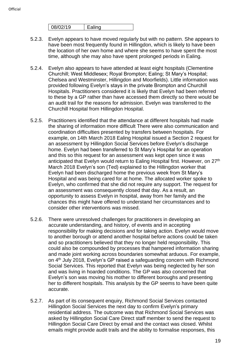| 08/02/19 | חו |
|----------|----|
|          |    |

- 5.2.3. Evelyn appears to have moved regularly but with no pattern. She appears to have been most frequently found in Hillingdon, which is likely to have been the location of her own home and where she seems to have spent the most time, although she may also have spent prolonged periods in Ealing.
- 5.2.4. Evelyn also appears to have attended at least eight hospitals (Clementine Churchill; West Middlesex; Royal Brompton; Ealing; St Mary's Hospital; Chelsea and Westminster, Hillingdon and Moorfields). Little information was provided following Evelyn's stays in the private Brompton and Churchill Hospitals. Practitioners considered it is likely that Evelyn had been referred to these by a GP rather than have accessed them directly so there would be an audit trail for the reasons for admission. Evelyn was transferred to the Churchill Hospital from Hillingdon Hospital.
- 5.2.5. Practitioners identified that the attendance at different hospitals had made the sharing of information more difficult There were also communication and coordination difficulties presented by transfers between hospitals. For example, on 14th March 2018 Ealing Hospital issued a Section 2 request for an assessment by Hillingdon Social Services before Evelyn's discharge home. Evelyn had been transferred to St Mary's Hospital for an operation and this so this request for an assessment was kept open since it was anticipated that Evelyn would return to Ealing Hospital first. However, on 27<sup>th</sup> March 2018 Evelyn's son (Ted) explained to the Hillingdon worker that Evelyn had been discharged home the previous week from St Mary's Hospital and was being cared for at home. The allocated worker spoke to Evelyn, who confirmed that she did not require any support. The request for an assessment was consequently closed that day. As a result, an opportunity to assess Evelyn in hospital, away from her family and the chances this might have offered to understand her circumstances and to consider other interventions was missed.
- 5.2.6. There were unresolved challenges for practitioners in developing an accurate understanding, and history, of events and in accepting responsibility for making decisions and for taking action. Evelyn would move to another borough or attend another hospital before actions could be taken and so practitioners believed that they no longer held responsibility. This could also be compounded by processes that hampered information sharing and made joint working across boundaries somewhat arduous. For example, on 4 th July 2018, Evelyn's GP raised a safeguarding concern with Richmond Social Services. This reported that Evelyn was being neglected by her son and was living in hoarded conditions. The GP was also concerned that Evelyn's son was moving his mother to different boroughs and presenting her to different hospitals. This analysis by the GP seems to have been quite accurate.
- 5.2.7. As part of its consequent enquiry, Richmond Social Services contacted Hillingdon Social Services the next day to confirm Evelyn's primary residential address. The outcome was that Richmond Social Services was asked by Hillingdon Social Care Direct staff member to send the request to Hillingdon Social Care Direct by email and the contact was closed. Whilst emails might provide audit trails and the ability to formalise responses, this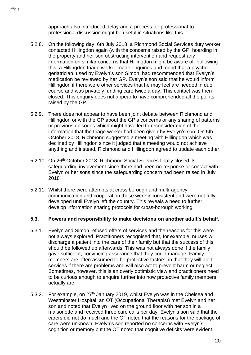approach also introduced delay and a process for professional-toprofessional discussion might be useful in situations like this.

- 5.2.8. On the following day, 6th July 2018, a Richmond Social Services duty worker contacted Hillingdon again (with the concerns raised by the GP: hoarding in the property and her son obstructing intervention and request any information on similar concerns that Hillingdon might be aware of. Following this, a Hillingdon triage worker made enquiries and found that a psychogeriatrician, used by Evelyn's son Simon, had recommended that Evelyn's medication be reviewed by her GP. Evelyn's son said that he would inform Hillingdon if there were other services that he may feel are needed in due course and was privately funding care twice a day. This contact was then closed. This enquiry does not appear to have comprehended all the points raised by the GP.
- 5.2.9. There does not appear to have been joint debate between Richmond and Hillingdon or with the GP about the GP's concerns or any sharing of patterns or previous episodes which might have led to reconsideration of the information that the triage worker had been given by Evelyn's son. On 5th October 2018, Richmond suggested a meeting with Hillingdon which was declined by Hillingdon since it judged that a meeting would not achieve anything and instead, Richmond and Hillingdon agreed to update each other.
- 5.2.10. On 26th October 2018, Richmond Social Services finally closed its safeguarding involvement since there had been no response or contact with Evelyn or her sons since the safeguarding concern had been raised in July 2018
- 5.2.11. Whilst there were attempts at cross borough and multi-agency communication and cooperation these were inconsistent and were not fully developed until Evelyn left the country. This reveals a need to further develop information sharing protocols for cross-borough working.

#### **5.3. Powers and responsibility to make decisions on another adult's behalf.**

- 5.3.1. Evelyn and Simon refused offers of services and the reasons for this were not always explored. Practitioners recognised that, for example, nurses will discharge a patient into the care of their family but that the success of this should be followed up afterwards. This was not always done if the family gave sufficient, convincing assurance that they could manage. Family members are often assumed to be protective factors, in that they will alert services if there are problems and will also act to prevent harm or neglect. Sometimes, however, this is an overly optimistic view and practitioners need to be curious enough to enquire further into how protective family members actually are.
- 5.3.2. For example, on 27<sup>th</sup> January 2019, whilst Evelyn was in the Chelsea and Westminster Hospital, an OT (Occupational Therapist) met Evelyn and her son and noted that Evelyn lived on the ground floor with her son in a maisonette and received three care calls per day. Evelyn's son said that the carers did not do much and the OT noted that the reasons for the package of care were unknown. Evelyn's son reported no concerns with Evelyn's cognition or memory but the OT noted that cognitive deficits were evident.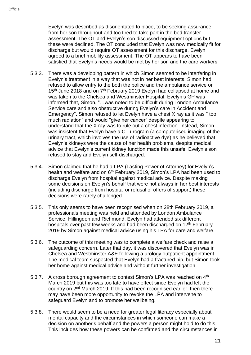Evelyn was described as disorientated to place, to be seeking assurance from her son throughout and too tired to take part in the bed transfer assessment. The OT and Evelyn's son discussed equipment options but these were declined. The OT concluded that Evelyn was now medically fit for discharge but would require OT assessment for this discharge. Evelyn agreed to a brief mobility assessment. The OT appears to have been satisfied that Evelyn's needs would be met by her son and the care workers.

- 5.3.3. There was a developing pattern in which Simon seemed to be interfering in Evelyn's treatment in a way that was not in her best interests. Simon had refused to allow entry to the both the police and the ambulance service on 15<sup>th</sup> June 2018 and on 7<sup>th</sup> February 2019 Evelyn had collapsed at home and was taken to the Chelsea and Westminster Hospital. Evelyn's GP was informed that, Simon, "…was noted to be difficult during London Ambulance Service care and also obstructive during Evelyn's care in Accident and Emergency". Simon refused to let Evelyn have a chest X ray as it was " too much radiation" and would "give her cancer" despite appearing to understand that the X ray was to rule out a chest infection. Instead, Simon was insistent that Evelyn have a CT urogram (a computerised imaging of the urinary tract, which involves the use of radioactive dye) as he believed that Evelyn's kidneys were the cause of her health problems, despite medical advice that Evelyn's current kidney function made this unsafe. Evelyn's son refused to stay and Evelyn self-discharged.
- 5.3.4. Simon claimed that he had a LPA (Lasting Power of Attorney) for Evelyn's health and welfare and on 6<sup>th</sup> February 2019, Simon's LPA had been used to discharge Evelyn from hospital against medical advice. Despite making some decisions on Evelyn's behalf that were not always in her best interests (including discharge from hospital or refusal of offers of support) these decisions were rarely challenged.
- 5.3.5. This only seems to have been recognised when on 28th February 2019, a professionals meeting was held and attended by London Ambulance Service, Hillingdon and Richmond. Evelyn had attended six different hospitals over past few weeks and had been discharged on 12<sup>th</sup> February 2019 by Simon against medical advice using his LPA for care and welfare.
- 5.3.6. The outcome of this meeting was to complete a welfare check and raise a safeguarding concern. Later that day, it was discovered that Evelyn was in Chelsea and Westminster A&E following a urology outpatient appointment. The medical team suspected that Evelyn had a fractured hip, but Simon took her home against medical advice and without further investigation.
- 5.3.7. A cross borough agreement to contest Simon's LPA was reached on 4<sup>th</sup> March 2019 but this was too late to have effect since Evelyn had left the country on 2<sup>nd</sup> March 2019. If this had been recognised earlier, then there may have been more opportunity to revoke the LPA and intervene to safeguard Evelyn and to promote her wellbeing.
- 5.3.8. There would seem to be a need for greater legal literacy especially about mental capacity and the circumstances in which someone can make a decision on another's behalf and the powers a person might hold to do this. This includes how these powers can be confirmed and the circumstances in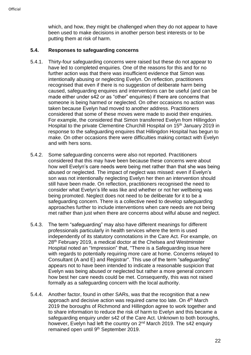which, and how, they might be challenged when they do not appear to have been used to make decisions in another person best interests or to be putting them at risk of harm.

#### **5.4. Responses to safeguarding concerns**

- 5.4.1. Thirty-four safeguarding concerns were raised but these do not appear to have led to completed enquiries. One of the reasons for this and for no further action was that there was insufficient evidence that Simon was intentionally abusing or neglecting Evelyn. On reflection, practitioners recognised that even if there is no suggestion of deliberate harm being caused, safeguarding enquires and interventions can be useful (and can be made either under s42 or as "other" enquiries) if there are concerns that someone is being harmed or neglected. On other occasions no action was taken because Evelyn had moved to another address. Practitioners considered that some of these moves were made to avoid their enquiries. For example, the considered that Simon transferred Evelyn from Hillingdon Hospital to the private Clementine Churchill Hospital on 15<sup>th</sup> January 2019 in response to the safeguarding enquires that Hillingdon Hospital has begun to make. On other occasions there were difficulties making contact with Evelyn and with hers sons.
- 5.4.2. Some safeguarding concerns were also not reported. Practitioners considered that this may have been because these concerns were about how well Evelyn's care needs were being met rather than that she was being abused or neglected. The impact of neglect was missed: even if Evelyn's son was not intentionally neglecting Evelyn her then an intervention should still have been made. On reflection, practitioners recognised the need to consider what Evelyn's life was like and whether or not her wellbeing was being promoted. Neglect does not need to be deliberate for it to be a safeguarding concern. There is a collective need to develop safeguarding approaches further to include interventions when care needs are not being met rather than just when there are concerns about wilful abuse and neglect.
- 5.4.3. The term "safeguarding" may also have different meanings for different professionals particularly in health services where the term is used independently of its statutory connotations in the Care Act. For example, on 28<sup>th</sup> February 2019, a medical doctor at the Chelsea and Westminster Hospital noted an "Impression" that, "There is a Safeguarding issue here with regards to potentially requiring more care at home. Concerns relayed to Consultant (A and E) and Registrar". This use of the term "safeguarding" appears not to have been intended to indicate a reasonable suspicion that Evelyn was being abused or neglected but rather a more general concern how best her care needs could be met. Consequently, this was not raised formally as a safeguarding concern with the local authority.
- 5.4.4. Another factor, found in other SARs, was that the recognition that a new approach and decisive action was required came too late. On 4<sup>th</sup> March 2019 the boroughs of Richmond and Hillingdon agree to work together and to share information to reduce the risk of harm to Evelyn and this became a safeguarding enquiry under s42 of the Care Act. Unknown to both boroughs, however, Evelyn had left the country on 2<sup>nd</sup> March 2019. The s42 enquiry remained open until 9<sup>th</sup> September 2019.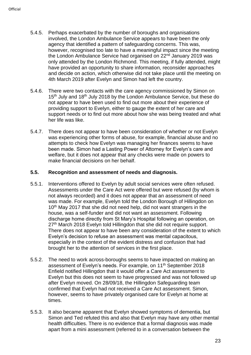- 5.4.5. Perhaps exacerbated by the number of boroughs and organisations involved, the London Ambulance Service appears to have been the only agency that identified a pattern of safeguarding concerns. This was, however, recognised too late to have a meaningful impact since the meeting the London Ambulance Service had organised on 22<sup>nd</sup> January 2019 was only attended by the London Richmond. This meeting, if fully attended, might have provided an opportunity to share information, reconsider approaches and decide on action, which otherwise did not take place until the meeting on 4th March 2019 after Evelyn and Simon had left the country.
- 5.4.6. There were two contacts with the care agency commissioned by Simon on 15<sup>th</sup> July and 18<sup>th</sup> July 2018 by the London Ambulance Service, but these do not appear to have been used to find out more about their experience of providing support to Evelyn, either to gauge the extent of her care and support needs or to find out more about how she was being treated and what her life was like.
- 5.4.7. There does not appear to have been consideration of whether or not Evelyn was experiencing other forms of abuse, for example, financial abuse and no attempts to check how Evelyn was managing her finances seems to have been made. Simon had a Lasting Power of Attorney for Evelyn's care and welfare, but it does not appear that any checks were made on powers to make financial decisions on her behalf.

#### **5.5. Recognition and assessment of needs and diagnosis.**

- 5.5.1. Interventions offered to Evelyn by adult social services were often refused. Assessments under the Care Act were offered but were refused (by whom is not always recorded) and it does not appear that an assessment of need was made. For example, Evelyn told the London Borough of Hillingdon on 10<sup>th</sup> May 2017 that she did not need help, did not want strangers in the house, was a self-funder and did not want an assessment. Following discharge home directly from St Mary's Hospital following an operation, on 27<sup>th</sup> March 2018 Evelyn told Hillingdon that she did not require support. There does not appear to have been any consideration of the extent to which Evelyn's decision to refuse an assessment was mental capacitous, especially in the context of the evident distress and confusion that had brought her to the attention of services in the first place.
- 5.5.2. The need to work across-boroughs seems to have impacted on making an assessment of Evelyn's needs. For example, on 11<sup>th</sup> September 2018 Enfield notified Hillingdon that it would offer a Care Act assessment to Evelyn but this does not seem to have progressed and was not followed up after Evelyn moved. On 28/09/18, the Hillingdon Safeguarding team confirmed that Evelyn had not received a Care Act assessment. Simon, however, seems to have privately organised care for Evelyn at home at times.
- 5.5.3. It also became apparent that Evelyn showed symptoms of dementia, but Simon and Ted refuted this and also that Evelyn may have any other mental health difficulties. There is no evidence that a formal diagnosis was made apart from a mini assessment (referred to in a conversation between the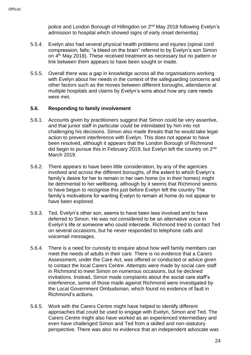police and London Borough of Hillingdon on 2<sup>nd</sup> May 2018 following Evelyn's admission to hospital which showed signs of early onset dementia).

- 5.5.4. Evelyn also had several physical health problems and injuries (spinal cord compression; falls; "a bleed on the brain" referred to by Evelyn's son Simon on 4 th May 2018). These received treatment as necessary but no pattern or link between them appears to have been sought or made.
- 5.5.5. Overall there was a gap in knowledge across all the organisations working with Evelyn about her needs in the context of the safeguarding concerns and other factors such as the moves between different boroughs, attendance at multiple hospitals and claims by Evelyn's sons about how any care needs were met.

# **5.6. Responding to family involvement**

- 5.6.1. Accounts given by practitioners suggest that Simon could be very assertive, and that junior staff in particular could be intimidated by him into not challenging his decisions. Simon also made threats that he would take legal action to prevent interference with Evelyn. This does not appear to have been resolved, although it appears that the London Borough of Richmond did begin to pursue this in February 2019, but Evelyn left the country on 2<sup>nd</sup> March 2019.
- 5.6.2. There appears to have been little consideration, by any of the agencies involved and across the different boroughs, of the extent to which Evelyn's family's desire for her to remain in her own home (or in their homes) might be detrimental to her wellbeing. although by it seems that Richmond seems to have begun to recognise this just before Evelyn left the country The family's motivations for wanting Evelyn to remain at home do not appear to have been explored.
- 5.6.3. Ted, Evelyn's other son, seems to have been less involved and to have deferred to Simon. He was not considered to be an alternative voice in Evelyn's life or someone who could intercede. Richmond tried to contact Ted on several occasions, but he never responded to telephone calls and voicemail messages.
- 5.6.4. There is a need for curiosity to enquire about how well family members can meet the needs of adults in their care. There is no evidence that a Carers Assessment, under the Care Act, was offered or conducted or advice given to contact the local Carers Centre. Attempts were made by social care staff in Richmond to meet Simon on numerous occasions, but he declined invitations. Instead, Simon made complaints about the social care staff's interference, some of those made against Richmond were investigated by the Local Government Ombudsman, which found no evidence of fault in Richmond's actions.
- 5.6.5. Work with the Carers Centre might have helped to identify different approaches that could be used to engage with Evelyn, Simon and Ted. The Carers Centre might also have worked as an experienced intermediary and even have challenged Simon and Ted from a skilled and non-statutory perspective. There was also no evidence that an independent advocate was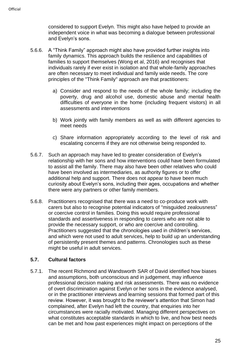considered to support Evelyn. This might also have helped to provide an independent voice in what was becoming a dialogue between professional and Evelyn's sons.

- 5.6.6. A "Think Family" approach might also have provided further insights into family dynamics. This approach builds the resilience and capabilities of families to support themselves (Wong et al, 2016) and recognises that individuals rarely if ever exist in isolation and that whole-family approaches are often necessary to meet individual and family wide needs. The core principles of the "Think Family" approach are that practitioners:
	- a) Consider and respond to the needs of the whole family; including the poverty, drug and alcohol use, domestic abuse and mental health difficulties of everyone in the home (including frequent visitors) in all assessments and interventions
	- b) Work jointly with family members as well as with different agencies to meet needs
	- c) Share information appropriately according to the level of risk and escalating concerns if they are not otherwise being responded to.
- 5.6.7. Such an approach may have led to greater consideration of Evelyn's relationship with her sons and how interventions could have been formulated to assist all the family. There may also have been other relatives who could have been involved as intermediaries, as authority figures or to offer additional help and support. There does not appear to have been much curiosity about Evelyn's sons, including their ages, occupations and whether there were any partners or other family members.
- 5.6.8. Practitioners recognised that there was a need to co-produce work with carers but also to recognise potential indicators of "misguided zealousness" or coercive control in families. Doing this would require professional standards and assertiveness in responding to carers who are not able to provide the necessary support, or who are coercive and controlling. Practitioners suggested that the chronologies used in children's services, and which were not used to adult services, help to build up an understanding of persistently present themes and patterns. Chronologies such as these might be useful in adult services.

# **5.7. Cultural factors**

5.7.1. The recent Richmond and Wandsworth SAR of David identified how biases and assumptions, both unconscious and in judgement, may influence professional decision making and risk assessments. There was no evidence of overt discrimination against Evelyn or her sons in the evidence analysed, or in the practitioner interviews and learning sessions that formed part of this review. However, it was brought to the reviewer's attention that Simon had complained, after Evelyn had left the country, that enquiries into her circumstances were racially motivated. Managing different perspectives on what constitutes acceptable standards in which to live, and how best needs can be met and how past experiences might impact on perceptions of the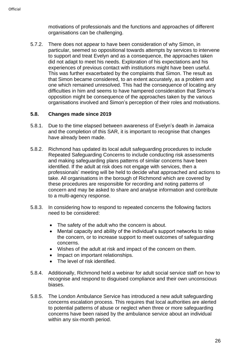motivations of professionals and the functions and approaches of different organisations can be challenging.

5.7.2. There does not appear to have been consideration of why Simon, in particular, seemed so oppositional towards attempts by services to intervene to support and treat Evelyn and as a consequence, the approaches taken did not adapt to meet his needs. Exploration of his expectations and his experiences of previous contact with institutions might have been useful. This was further exacerbated by the complaints that Simon. The result as that Simon became considered, to an extent accurately, as a problem and one which remained unresolved. This had the consequence of locating any difficulties in him and seems to have hampered consideration that Simon's opposition might be consequence of the approaches taken by the various organisations involved and Simon's perception of their roles and motivations.

#### **5.8. Changes made since 2019**

- 5.8.1. Due to the time elapsed between awareness of Evelyn's death in Jamaica and the completion of this SAR, it is important to recognise that changes have already been made.
- 5.8.2. Richmond has updated its local adult safeguarding procedures to include Repeated Safeguarding Concerns to include conducting risk assessments and making safeguarding plans patterns of similar concerns have been identified. If the adult at risk does not engage with services, then a professionals' meeting will be held to decide what approached and actions to take. All organisations in the borough of Richmond which are covered by these procedures are responsible for recording and noting patterns of concern and may be asked to share and analyse information and contribute to a multi-agency response.
- 5.8.3. In considering how to respond to repeated concerns the following factors need to be considered:
	- The safety of the adult who the concern is about.
	- Mental capacity and ability of the individual's support networks to raise the concern, or to increase support to meet outcomes of safeguarding concerns.
	- Wishes of the adult at risk and impact of the concern on them.
	- Impact on important relationships.
	- The level of risk identified.
- 5.8.4. Additionally, Richmond held a webinar for adult social service staff on how to recognise and respond to disguised compliance and their own unconscious biases.
- 5.8.5. The London Ambulance Service has introduced a new adult safeguarding concerns escalation process. This requires that local authorities are alerted to potential patterns of abuse or neglect when three or more safeguarding concerns have been raised by the ambulance service about an individual within any six-month period.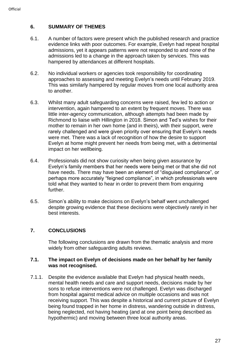# <span id="page-26-0"></span>**6. SUMMARY OF THEMES**

- 6.1. A number of factors were present which the published research and practice evidence links with poor outcomes. For example, Evelyn had repeat hospital admissions, yet it appears patterns were not responded to and none of the admissions led to a change in the approach taken by services. This was hampered by attendances at different hospitals.
- 6.2. No individual workers or agencies took responsibility for coordinating approaches to assessing and meeting Evelyn's needs until February 2019. This was similarly hampered by regular moves from one local authority area to another.
- 6.3. Whilst many adult safeguarding concerns were raised, few led to action or intervention, again hampered to an extent by frequent moves. There was little inter-agency communication, although attempts had been made by Richmond to liaise with Hillington in 2018. Simon and Ted's wishes for their mother to remain in her own home (and in theirs), with their support, were rarely challenged and were given priority over ensuring that Evelyn's needs were met. There was a lack of recognition of how the desire to support Evelyn at home might prevent her needs from being met, with a detrimental impact on her wellbeing.
- 6.4. Professionals did not show curiosity when being given assurance by Evelyn's family members that her needs were being met or that she did not have needs. There may have been an element of "disguised compliance", or perhaps more accurately "feigned compliance", in which professionals were told what they wanted to hear in order to prevent them from enquiring further.
- 6.5. Simon's ability to make decisions on Evelyn's behalf went unchallenged despite growing evidence that these decisions were objectively rarely in her best interests.

# <span id="page-26-1"></span>**7. CONCLUSIONS**

The following conclusions are drawn from the thematic analysis and more widely from other safeguarding adults reviews.

#### **7.1. The impact on Evelyn of decisions made on her behalf by her family was not recognised.**

7.1.1. Despite the evidence available that Evelyn had physical health needs, mental health needs and care and support needs, decisions made by her sons to refuse interventions were not challenged. Evelyn was discharged from hospital against medical advice on multiple occasions and was not receiving support. This was despite a historical and current picture of Evelyn being found trapped in her home in distress, wandering outside in distress, being neglected, not having heating (and at one point being described as hypothermic) and moving between three local authority areas.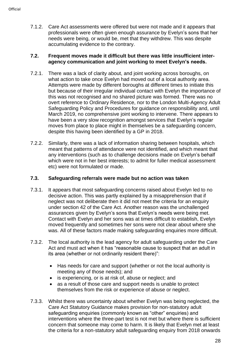7.1.2. Care Act assessments were offered but were not made and it appears that professionals were often given enough assurance by Evelyn's sons that her needs were being, or would be, met that they withdrew. This was despite accumulating evidence to the contrary.

#### **7.2. Frequent moves made it difficult but there was little insufficient interagency communication and joint working to meet Evelyn's needs.**

- 7.2.1. There was a lack of clarity about, and joint working across boroughs, on what action to take once Evelyn had moved out of a local authority area. Attempts were made by different boroughs at different times to initiate this but because of their irregular individual contact with Evelyn the importance of this was not recognised and no shared picture was formed. There was no overt reference to Ordinary Residence, nor to the London Multi-Agency Adult Safeguarding Policy and Procedures for guidance on responsibility and, until March 2019, no comprehensive joint working to intervene. There appears to have been a very slow recognition amongst services that Evelyn's regular moves from place to place might in themselves be a safeguarding concern, despite this having been identified by a GP in 2018.
- 7.2.2. Similarly, there was a lack of information sharing between hospitals, which meant that patterns of attendance were not identified, and which meant that any interventions (such as to challenge decisions made on Evelyn's behalf which were not in her best interests; to admit for fuller medical assessment etc) were not formulated or made.

# **7.3. Safeguarding referrals were made but no action was taken**

- 7.3.1. It appears that most safeguarding concerns raised about Evelyn led to no decisive action. This was partly explained by a misapprehension that if neglect was not deliberate then it did not meet the criteria for an enquiry under section 42 of the Care Act. Another reason was the unchallenged assurances given by Evelyn's sons that Evelyn's needs were being met. Contact with Evelyn and her sons was at times difficult to establish, Evelyn moved frequently and sometimes her sons were not clear about where she was. All of these factors made making safeguarding enquiries more difficult.
- 7.3.2. The local authority is the lead agency for adult safeguarding under the Care Act and must act when it has "reasonable cause to suspect that an adult in its area (whether or not ordinarily resident there)":
	- Has needs for care and support (whether or not the local authority is meeting any of those needs); and
	- is experiencing, or is at risk of, abuse or neglect; and
	- as a result of those care and support needs is unable to protect themselves from the risk or experience of abuse or neglect.
- 7.3.3. Whilst there was uncertainty about whether Evelyn was being neglected, the Care Act Statutory Guidance makes provision for non-statutory adult safeguarding enquiries (commonly known as "other" enquiries) and interventions where the three-part test is not met but where there is sufficient concern that someone may come to harm. It is likely that Evelyn met at least the criteria for a non-statutory adult safeguarding enquiry from 2018 onwards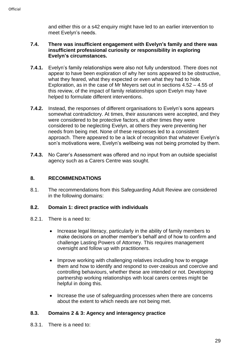and either this or a s42 enquiry might have led to an earlier intervention to meet Evelyn's needs.

#### **7.4. There was insufficient engagement with Evelyn's family and there was insufficient professional curiosity or responsibility in exploring Evelyn's circumstances.**

- **7.4.1.** Evelyn's family relationships were also not fully understood. There does not appear to have been exploration of why her sons appeared to be obstructive, what they feared, what they expected or even what they had to hide. Exploration, as in the case of Mr Meyers set out in sections 4.52 – 4.55 of this review, of the impact of family relationships upon Evelyn may have helped to formulate different interventions.
- **7.4.2.** Instead, the responses of different organisations to Evelyn's sons appears somewhat contradictory. At times, their assurances were accepted, and they were considered to be protective factors, at other times they were considered to be neglecting Evelyn, at others they were preventing her needs from being met. None of these responses led to a consistent approach. There appeared to be a lack of recognition that whatever Evelyn's son's motivations were, Evelyn's wellbeing was not being promoted by them.
- **7.4.3.** No Carer's Assessment was offered and no input from an outside specialist agency such as a Carers Centre was sought.

# <span id="page-28-0"></span>**8. RECOMMENDATIONS**

8.1. The recommendations from this Safeguarding Adult Review are considered in the following domains:

# **8.2. Domain 1: direct practice with individuals**

- 8.2.1. There is a need to:
	- Increase legal literacy, particularly in the ability of family members to make decisions on another member's behalf and of how to confirm and challenge Lasting Powers of Attorney. This requires management oversight and follow up with practitioners.
	- Improve working with challenging relatives including how to engage them and how to identify and respond to over-zealous and coercive and controlling behaviours, whether these are intended or not. Developing partnership working relationships with local carers centres might be helpful in doing this.
	- Increase the use of safeguarding processes when there are concerns about the extent to which needs are not being met.

# **8.3. Domains 2 & 3: Agency and interagency practice**

8.3.1. There is a need to: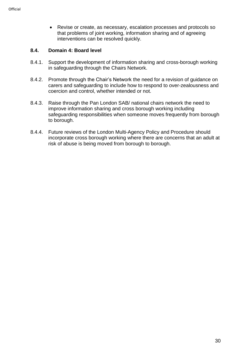• Revise or create, as necessary, escalation processes and protocols so that problems of joint working, information sharing and of agreeing interventions can be resolved quickly.

# **8.4. Domain 4: Board level**

- 8.4.1. Support the development of information sharing and cross-borough working in safeguarding through the Chairs Network.
- 8.4.2. Promote through the Chair's Network the need for a revision of guidance on carers and safeguarding to include how to respond to over-zealousness and coercion and control, whether intended or not.
- 8.4.3. Raise through the Pan London SAB/ national chairs network the need to improve information sharing and cross borough working including safeguarding responsibilities when someone moves frequently from borough to borough.
- 8.4.4. Future reviews of the London Multi-Agency Policy and Procedure should incorporate cross borough working where there are concerns that an adult at risk of abuse is being moved from borough to borough.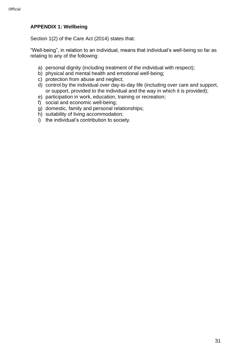#### <span id="page-30-0"></span>**APPENDIX 1: Wellbeing**

Section 1(2) of the Care Act (2014) states that:

"Well-being", in relation to an individual, means that individual's well-being so far as relating to any of the following:

- a) personal dignity (including treatment of the individual with respect);
- b) physical and mental health and emotional well-being;
- c) protection from abuse and neglect;
- d) control by the individual over day-to-day life (including over care and support, or support, provided to the individual and the way in which it is provided);
- e) participation in work, education, training or recreation;
- f) social and economic well-being;
- g) domestic, family and personal relationships;
- h) suitability of living accommodation;
- i) the individual's contribution to society.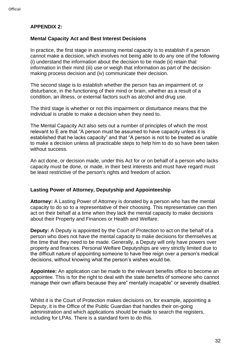#### <span id="page-31-0"></span>**APPENDIX 2:**

#### **Mental Capacity Act and Best Interest Decisions**

In practice, the first stage in assessing mental capacity is to establish if a person cannot make a decision, which involves not being able to do any one of the following (i) understand the information about the decision to be made (ii) retain that information in their mind (iii) use or weigh that information as part of the decisionmaking process decision and (iv) communicate their decision.

The second stage is to establish whether the person has an impairment of, or disturbance, in the functioning of their mind or brain, whether as a result of a condition, an illness, or external factors such as alcohol and drug use.

The third stage is whether or not this impairment or disturbance means that the individual is unable to make a decision when they need to.

The Mental Capacity Act also sets out a number of principles of which the most relevant to E are that "A person must be assumed to have capacity unless it is established that he lacks capacity" and that "A person is not to be treated as unable to make a decision unless all practicable steps to help him to do so have been taken without success.

An act done, or decision made, under this Act for or on behalf of a person who lacks capacity must be done, or made, in their best interests and must have regard must be least restrictive of the person's rights and freedom of action.

#### **Lasting Power of Attorney, Deputyship and Appointeeship**

**Attorney:** A Lasting Power of Attorney is donated by a person who has the mental capacity to do so to a representative of their choosing. This representative can then act on their behalf at a time when they lack the mental capacity to make decisions about their Property and Finances or Health and Welfare.

**Deputy:** A Deputy is appointed by the Court of Protection to act on the behalf of a person who does not have the mental capacity to make decisions for themselves at the time that they need to be made. Generally, a Deputy will only have powers over property and finances. Personal Welfare Deputyships are very strictly limited due to the difficult nature of appointing someone to have free reign over a person's medical decisions, without knowing what the person's wishes would be.

**Appointee:** An application can be made to the relevant benefits office to become an appointee. This is for the right to deal with the state benefits of someone who cannot manage their own affairs because they are" mentally incapable" or severely disabled.

Whilst it is the Court of Protection makes decisions on, for example, appointing a Deputy, it is the Office of the Public Guardian that handles their on-going administration and which applications should be made to search the registers, including for LPAs. There is a standard form to do this.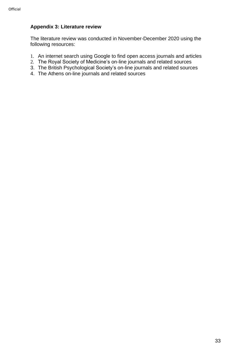# <span id="page-32-0"></span>**Appendix 3: Literature review**

The literature review was conducted in November-December 2020 using the following resources:

- 1. An internet search using Google to find open access journals and articles
- 2. The Royal Society of Medicine's on-line journals and related sources
- 3. The British Psychological Society's on-line journals and related sources
- 4. The Athens on-line journals and related sources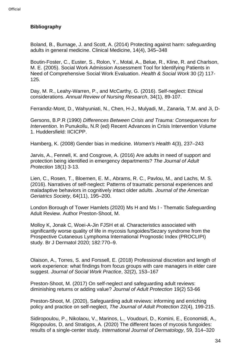# <span id="page-33-0"></span>**Bibliography**

Boland, B., Burnage, J. and Scott, A. (2014) Protecting against harm: safeguarding adults in general medicine. Clinical Medicine, 14(4), 345–348

Boutin-Foster, C., Euster, S., Rolon, Y., Motal, A., Belue, R., Kline, R. and Charlson, M. E. (2005). Social Work Admission Assessment Tool for Identifying Patients in Need of Comprehensive Social Work Evaluation. *Health & Social Work* 30 (2) 117- 125.

Day, M. R., Leahy-Warren, P., and McCarthy, G. (2016). Self-neglect: Ethical considerations. *Annual Review of Nursing Research*, 34(1), 89-107.

Ferrandiz‐Mont, D., Wahyuniati, N., Chen, H-J., Mulyadi, M., Zanaria, T.M. and Ji, D-

Gersons, B.P.R (1990) *Differences Between Crisis and Trauma: Consequences for Intervention*. In Punukollu, N.R (ed) Recent Advances in Crisis Intervention Volume 1. Huddersfield: IICICPP.

Hamberg, K. (2008) Gender bias in medicine. *Women's Health* 4(3), 237–243

Jarvis, A., Fennell, K. and Cosgrove, A. (2016) Are adults in need of support and protection being identified in emergency departments? *The Journal of Adult Protection* 18(1) 3-13.

Lien, C., Rosen, T., Bloemen, E. M., Abrams, R. C., Pavlou, M., and Lachs, M. S. (2016). Narratives of self‐neglect: Patterns of traumatic personal experiences and maladaptive behaviors in cognitively intact older adults. *Journal of the American Geriatrics Society*, 64(11), 195–200.

London Borough of Tower Hamlets (2020) Ms H and Ms I - Thematic Safeguarding Adult Review. Author Preston-Shoot, M.

Molloy K, Jonak C, Woei-A-Jin FJSH et al. Characteristics associated with significantly worse quality of life in mycosis fungoides/Sezary syndrome from the Prospective Cutaneous Lymphoma International Prognostic Index (PROCLIPI) study. Br J Dermatol 2020; 182:770–9.

Olaison, A., Torres, S. and Forssell, E. (2018) Professional discretion and length of work experience: what findings from focus groups with care managers in elder care suggest. *Journal of Social Work Practice*, 32(2), 153–167

Preston-Shoot, M. (2017) On self-neglect and safeguarding adult reviews: diminishing returns or adding value? *Journal of Adult Protection* 19(2) 53-66

Preston-Shoot, M. (2020), Safeguarding adult reviews: informing and enriching policy and practice on self-neglect, *The Journal of Adult Protection* 22(4), 199-215.

Sidiropoulou, P., Nikolaou, V., Marinos, L., Voudouri, D., Komini, E., Economidi, A., Rigopoulos, D, and Stratigos, A. (2020) The different faces of mycosis fungoides: results of a single-center study. *International Journal of Dermatology*, 59, 314–320